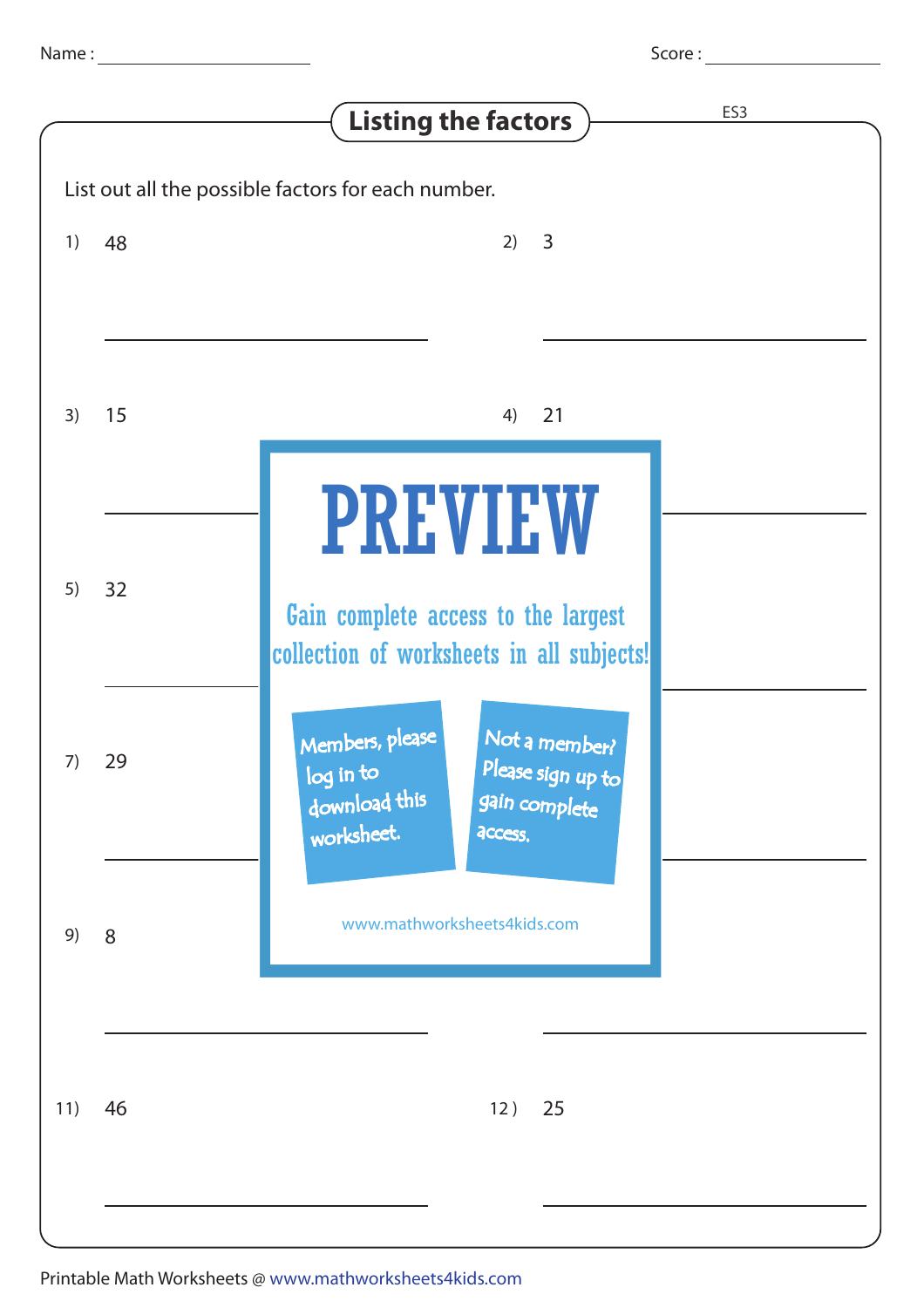| Score: |
|--------|
|--------|

|                                                    |    | <b>Listing the factors</b>                                                                                                    | ES <sub>3</sub> |  |
|----------------------------------------------------|----|-------------------------------------------------------------------------------------------------------------------------------|-----------------|--|
| List out all the possible factors for each number. |    |                                                                                                                               |                 |  |
| 1)                                                 | 48 | 3<br>2)                                                                                                                       |                 |  |
| 3)                                                 | 15 | 21<br>4)                                                                                                                      |                 |  |
| 5)                                                 | 32 | <b>PREVIEW</b><br>Gain complete access to the largest<br>collection of worksheets in all subjects!                            |                 |  |
| 7)                                                 | 29 | Members, please<br>Not a member?<br>Please sign up to<br>log in to<br>download this<br>gain complete<br>worksheet.<br>access. |                 |  |
| 9)                                                 | 8  | www.mathworksheets4kids.com                                                                                                   |                 |  |
| 11)                                                | 46 | 12)<br>25                                                                                                                     |                 |  |
|                                                    |    |                                                                                                                               |                 |  |